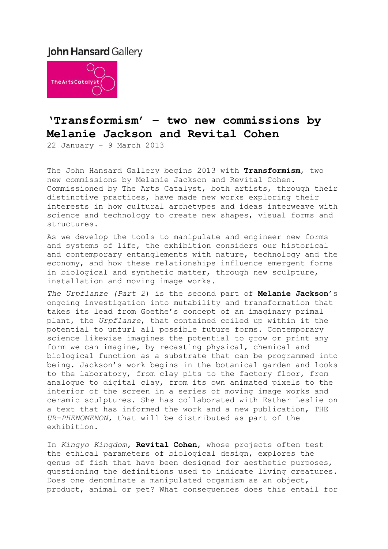# **John Hansard Gallery**



# **'Transformism' – two new commissions by Melanie Jackson and Revital Cohen**

22 January – 9 March 2013

The John Hansard Gallery begins 2013 with **Transformism**, two new commissions by Melanie Jackson and Revital Cohen. Commissioned by The Arts Catalyst, both artists, through their distinctive practices, have made new works exploring their interests in how cultural archetypes and ideas interweave with science and technology to create new shapes, visual forms and structures.

As we develop the tools to manipulate and engineer new forms and systems of life, the exhibition considers our historical and contemporary entanglements with nature, technology and the economy, and how these relationships influence emergent forms in biological and synthetic matter, through new sculpture, installation and moving image works.

*The Urpflanze (Part 2*) is the second part of **Melanie Jackson**'s ongoing investigation into mutability and transformation that takes its lead from Goethe's concept of an imaginary primal plant, the *Urpflanze*, that contained coiled up within it the potential to unfurl all possible future forms. Contemporary science likewise imagines the potential to grow or print any form we can imagine, by recasting physical, chemical and biological function as a substrate that can be programmed into being. Jackson's work begins in the botanical garden and looks to the laboratory, from clay pits to the factory floor, from analogue to digital clay, from its own animated pixels to the interior of the screen in a series of moving image works and ceramic sculptures. She has collaborated with Esther Leslie on a text that has informed the work and a new publication, THE *UR-PHENOMENON,* that will be distributed as part of the exhibition.

In *Kingyo Kingdom,* **Revital Cohen**, whose projects often test the ethical parameters of biological design, explores the genus of fish that have been designed for aesthetic purposes, questioning the definitions used to indicate living creatures. Does one denominate a manipulated organism as an object, product, animal or pet? What consequences does this entail for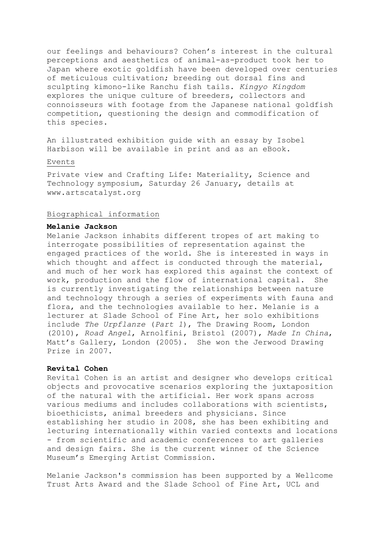our feelings and behaviours? Cohen's interest in the cultural perceptions and aesthetics of animal-as-product took her to Japan where exotic goldfish have been developed over centuries of meticulous cultivation; breeding out dorsal fins and sculpting kimono-like Ranchu fish tails. *Kingyo Kingdom* explores the unique culture of breeders, collectors and connoisseurs with footage from the Japanese national goldfish competition, questioning the design and commodification of this species.

An illustrated exhibition guide with an essay by Isobel Harbison will be available in print and as an eBook.

#### Events

Private view and Crafting Life: Materiality, Science and Technology symposium, Saturday 26 January, details at www.artscatalyst.org

#### Biographical information

### **Melanie Jackson**

Melanie Jackson inhabits different tropes of art making to interrogate possibilities of representation against the engaged practices of the world. She is interested in ways in which thought and affect is conducted through the material, and much of her work has explored this against the context of work, production and the flow of international capital. She is currently investigating the relationships between nature and technology through a series of experiments with fauna and flora, and the technologies available to her. Melanie is a lecturer at Slade School of Fine Art, her solo exhibitions include *The Urpflanze* (*Part 1*), The Drawing Room, London (2010), *Road Angel*, Arnolfini, Bristol (2007), *Made In China*, Matt's Gallery, London (2005). She won the Jerwood Drawing Prize in 2007.

## **Revital Cohen**

Revital Cohen is an artist and designer who develops critical objects and provocative scenarios exploring the juxtaposition of the natural with the artificial. Her work spans across various mediums and includes collaborations with scientists, bioethicists, animal breeders and physicians. Since establishing her studio in 2008, she has been exhibiting and lecturing internationally within varied contexts and locations - from scientific and academic conferences to art galleries and design fairs. She is the current winner of the Science Museum's Emerging Artist Commission.

Melanie Jackson's commission has been supported by a Wellcome Trust Arts Award and the Slade School of Fine Art, UCL and